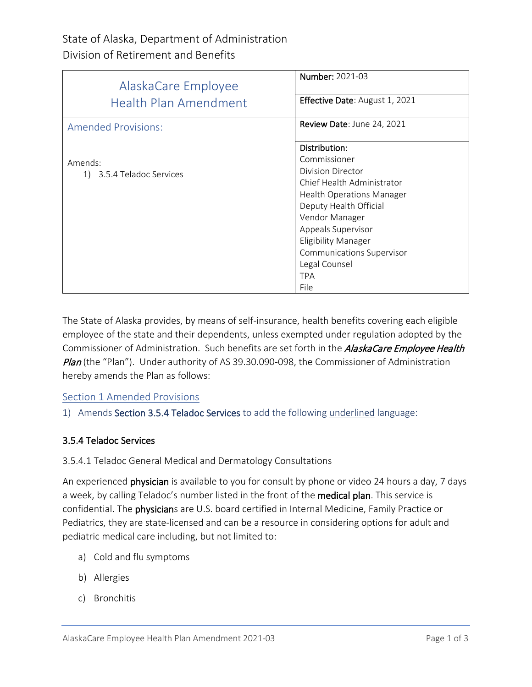| AlaskaCare Employee          | <b>Number: 2021-03</b>           |
|------------------------------|----------------------------------|
| <b>Health Plan Amendment</b> | Effective Date: August 1, 2021   |
| <b>Amended Provisions:</b>   | Review Date: June 24, 2021       |
|                              | Distribution:                    |
| Amends:                      | Commissioner                     |
| 1) 3.5.4 Teladoc Services    | Division Director                |
|                              | Chief Health Administrator       |
|                              | <b>Health Operations Manager</b> |
|                              | Deputy Health Official           |
|                              | Vendor Manager                   |
|                              | Appeals Supervisor               |
|                              | <b>Eligibility Manager</b>       |
|                              | <b>Communications Supervisor</b> |
|                              | Legal Counsel                    |
|                              | <b>TPA</b>                       |
|                              | File                             |

The State of Alaska provides, by means of self-insurance, health benefits covering each eligible employee of the state and their dependents, unless exempted under regulation adopted by the Commissioner of Administration. Such benefits are set forth in the AlaskaCare Employee Health Plan (the "Plan"). Under authority of AS 39.30.090-098, the Commissioner of Administration hereby amends the Plan as follows:

# Section 1 Amended Provisions

# 1) Amends Section 3.5.4 Teladoc Services to add the following underlined language:

#### 3.5.4 Teladoc Services

#### 3.5.4.1 Teladoc General Medical and Dermatology Consultations

An experienced physician is available to you for consult by phone or video 24 hours a day, 7 days a week, by calling Teladoc's number listed in the front of the medical plan. This service is confidential. The physicians are U.S. board certified in Internal Medicine, Family Practice or Pediatrics, they are state-licensed and can be a resource in considering options for adult and pediatric medical care including, but not limited to:

- a) Cold and flu symptoms
- b) Allergies
- c) Bronchitis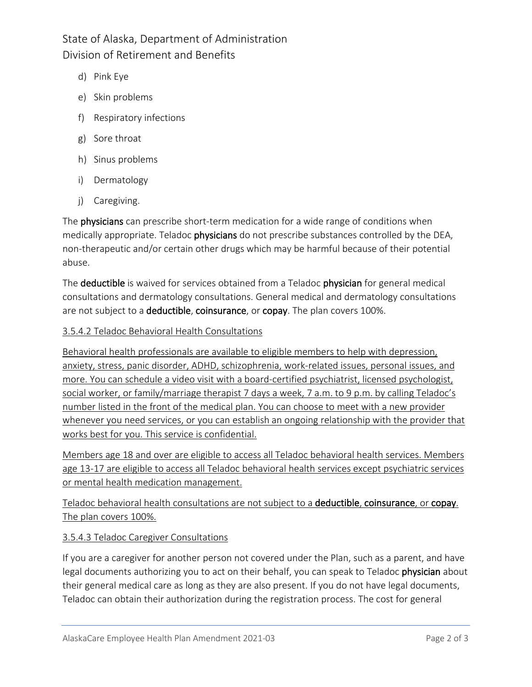State of Alaska, Department of Administration Division of Retirement and Benefits

- d) Pink Eye
- e) Skin problems
- f) Respiratory infections
- g) Sore throat
- h) Sinus problems
- i) Dermatology
- j) Caregiving.

The **physicians** can prescribe short-term medication for a wide range of conditions when medically appropriate. Teladoc physicians do not prescribe substances controlled by the DEA, non-therapeutic and/or certain other drugs which may be harmful because of their potential abuse.

The deductible is waived for services obtained from a Teladoc physician for general medical consultations and dermatology consultations. General medical and dermatology consultations are not subject to a deductible, coinsurance, or copay. The plan covers 100%.

#### 3.5.4.2 Teladoc Behavioral Health Consultations

Behavioral health professionals are available to eligible members to help with depression, anxiety, stress, panic disorder, ADHD, schizophrenia, work-related issues, personal issues, and more. You can schedule a video visit with a board-certified psychiatrist, licensed psychologist, social worker, or family/marriage therapist 7 days a week, 7 a.m. to 9 p.m. by calling Teladoc's number listed in the front of the medical plan. You can choose to meet with a new provider whenever you need services, or you can establish an ongoing relationship with the provider that works best for you. This service is confidential.

Members age 18 and over are eligible to access all Teladoc behavioral health services. Members age 13-17 are eligible to access all Teladoc behavioral health services except psychiatric services or mental health medication management.

Teladoc behavioral health consultations are not subject to a deductible, coinsurance, or copay. The plan covers 100%.

# 3.5.4.3 Teladoc Caregiver Consultations

If you are a caregiver for another person not covered under the Plan, such as a parent, and have legal documents authorizing you to act on their behalf, you can speak to Teladoc physician about their general medical care as long as they are also present. If you do not have legal documents, Teladoc can obtain their authorization during the registration process. The cost for general